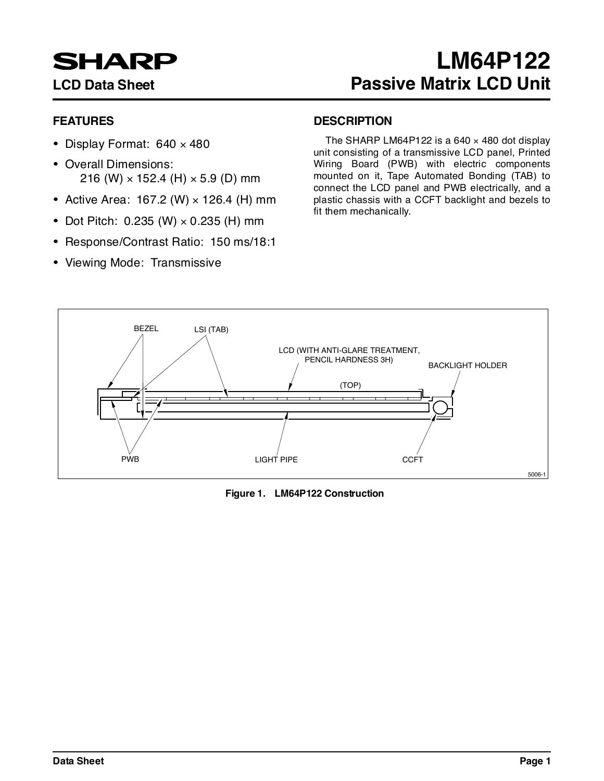# **SHARP**

# **FEATURES**

- Display Format: 640 × 480
- Overall Dimensions: 216 (W)  $\times$  152.4 (H)  $\times$  5.9 (D) mm
- Active Area: 167.2 (W)  $\times$  126.4 (H) mm
- Dot Pitch:  $0.235$  (W)  $\times$  0.235 (H) mm
- Response/Contrast Ratio: 150 ms/18:1
- Viewing Mode: Transmissive

# **DESCRIPTION**

The SHARP LM64P122 is a 640  $\times$  480 dot display unit consisting of a transmissive LCD panel, Printed Wiring Board (PWB) with electric components mounted on it, Tape Automated Bonding (TAB) to connect the LCD panel and PWB electrically, and a plastic chassis with a CCFT backlight and bezels to fit them mechanically.



**Figure 1. LM64P122 Construction**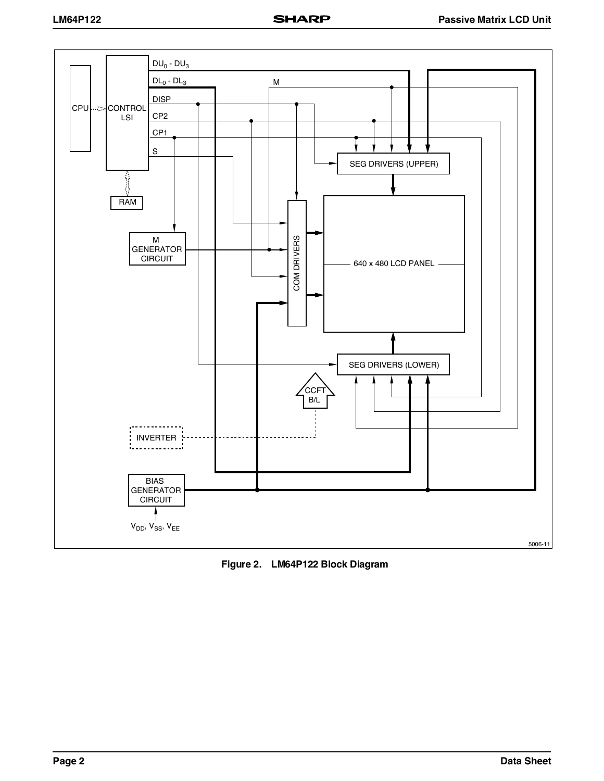

**Figure 2. LM64P122 Block Diagram**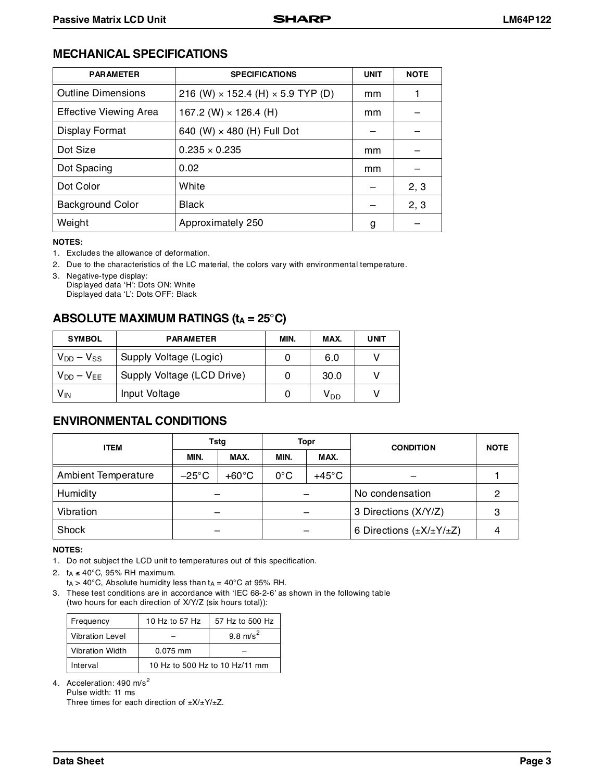# **MECHANICAL SPECIFICATIONS**

| <b>PARAMETER</b>              | <b>SPECIFICATIONS</b>                           | <b>UNIT</b> | <b>NOTE</b> |
|-------------------------------|-------------------------------------------------|-------------|-------------|
| <b>Outline Dimensions</b>     | 216 (W) $\times$ 152.4 (H) $\times$ 5.9 TYP (D) | mm          |             |
| <b>Effective Viewing Area</b> | 167.2 (W) $\times$ 126.4 (H)                    | mm          |             |
| Display Format                | 640 (W) × 480 (H) Full Dot                      |             |             |
| Dot Size                      | $0.235 \times 0.235$                            | mm          |             |
| Dot Spacing                   | 0.02                                            | mm          |             |
| Dot Color                     | White                                           |             | 2, 3        |
| <b>Background Color</b>       | <b>Black</b>                                    |             | 2, 3        |
| Weight                        | Approximately 250                               | g           |             |

**NOTES:**

1. Excludes the allowance of deformation.

2. Due to the characteristics of the LC material, the colors vary with environmental temperature.

# **ABSOLUTE MAXIMUM RATINGS (t<sub>A</sub> = 25°C)**

| <b>SYMBOL</b>     | <b>PARAMETER</b>           | MIN. | MAX.            | <b>UNIT</b> |
|-------------------|----------------------------|------|-----------------|-------------|
| $V_{DD} - V_{SS}$ | Supply Voltage (Logic)     |      | 6.0             |             |
| $V_{DD} - V_{EE}$ | Supply Voltage (LCD Drive) |      | 30.0            |             |
| V <sub>IN</sub>   | Input Voltage              |      | V <sub>DD</sub> |             |

# **ENVIRONMENTAL CONDITIONS**

| <b>ITEM</b>                | Tstq            |                 | <b>Topr</b>                      |      | <b>CONDITION</b>                   | <b>NOTE</b> |                      |  |
|----------------------------|-----------------|-----------------|----------------------------------|------|------------------------------------|-------------|----------------------|--|
|                            | MIN.            | MAX.            | MIN.                             | MAX. |                                    |             |                      |  |
| <b>Ambient Temperature</b> | $-25^{\circ}$ C | $+60^{\circ}$ C | $+45^{\circ}$ C<br>$0^{\circ}$ C |      |                                    |             |                      |  |
| Humidity                   |                 |                 | No condensation                  |      |                                    |             |                      |  |
| Vibration                  |                 |                 |                                  |      |                                    |             | 3 Directions (X/Y/Z) |  |
| Shock                      |                 |                 |                                  |      | 6 Directions $(\pm X/\pm Y/\pm Z)$ |             |                      |  |

#### **NOTES:**

1. Do not subject the LCD unit to temperatures out of this specification.

2. tA ≤ 40°C, 95% RH maximum.

 $ta > 40^{\circ}$ C, Absolute humidity less than  $ta = 40^{\circ}$ C at 95% RH.

3. These test conditions are in accordance with 'IEC 68-2-6' as shown in the following table (two hours for each direction of X/Y/Z (six hours total)):

| Frequency              | 10 Hz to 57 Hz                 | 57 Hz to 500 Hz     |  |  |
|------------------------|--------------------------------|---------------------|--|--|
| <b>Vibration Level</b> |                                | $9.8 \text{ m/s}^2$ |  |  |
| <b>Vibration Width</b> | $0.075$ mm                     |                     |  |  |
| Interval               | 10 Hz to 500 Hz to 10 Hz/11 mm |                     |  |  |

4. Acceleration: 490 m/s<sup>2</sup>

Pulse width: 11 ms

Three times for each direction of  $\pm X/\pm Y/\pm Z$ .

<sup>3.</sup> Negative-type display: Displayed data 'H': Dots ON: White Displayed data 'L': Dots OFF: Black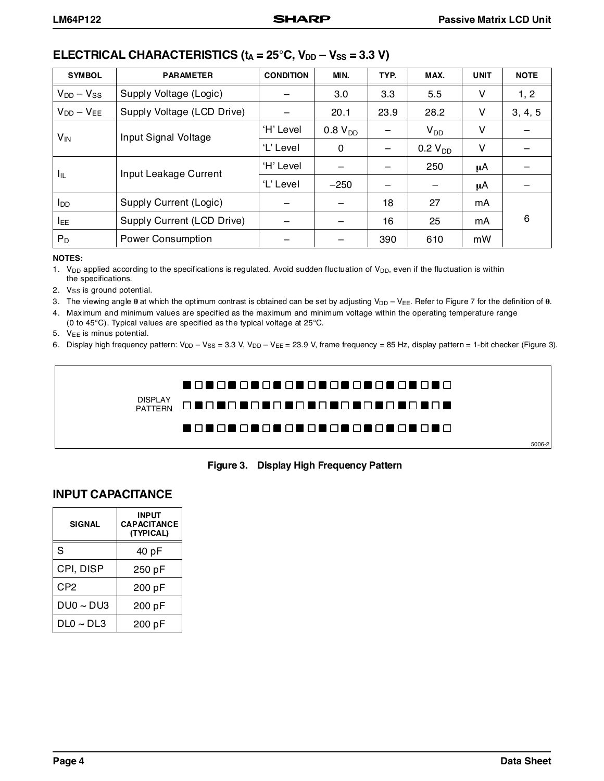# **ELECTRICAL CHARACTERISTICS (** $t_A = 25^\circ$ **C,**  $V_{DD} - V_{SS} = 3.3 \text{ V}$ **)**

| <b>SYMBOL</b>          | <b>PARAMETER</b>           | <b>CONDITION</b> | MIN.         | TYP. | MAX.         | <b>UNIT</b> | <b>NOTE</b> |
|------------------------|----------------------------|------------------|--------------|------|--------------|-------------|-------------|
| $V_{DD} - V_{SS}$      | Supply Voltage (Logic)     |                  | 3.0          | 3.3  | 5.5          | ۷           | 1, 2        |
| $V_{DD} - V_{FF}$      | Supply Voltage (LCD Drive) |                  | 20.1         | 23.9 | 28.2         | ۷           | 3, 4, 5     |
| $V_{IN}$               | Input Signal Voltage       | 'H' Level        | $0.8 V_{DD}$ |      | $V_{DD}$     | ۷           |             |
|                        |                            | 'L' Level        | 0            |      | $0.2 V_{DD}$ | v           |             |
|                        | Input Leakage Current      | 'H' Level        |              |      | 250          | μA          |             |
| Īщ                     |                            | 'L' Level        | $-250$       |      |              | μA          |             |
| <b>I</b> <sub>DD</sub> | Supply Current (Logic)     |                  |              | 18   | 27           | mA          |             |
| <b>IEE</b>             | Supply Current (LCD Drive) |                  |              | 16   | 25           | mA          | 6           |
| $P_D$                  | <b>Power Consumption</b>   |                  |              | 390  | 610          | mW          |             |

#### **NOTES:**

1. V<sub>DD</sub> applied according to the specifications is regulated. Avoid sudden fluctuation of V<sub>DD</sub>, even if the fluctuation is within the specifications.

2. Vss is ground potential.

3. The viewing angle  $\theta$  at which the optimum contrast is obtained can be set by adjusting  $V_{DD} - V_{EE}$ . Refer to Figure 7 for the definition of  $\theta$ .

4. Maximum and minimum values are specified as the maximum and minimum voltage within the operating temperature range (0 to 45°C). Typical values are specified as the typical voltage at 25°C.

- 5.  $V_{EE}$  is minus potential.
- 6. Display high frequency pattern: V<sub>DD</sub> V<sub>SS</sub> = 3.3 V, V<sub>DD</sub> V<sub>EE</sub> = 23.9 V, frame frequency = 85 Hz, display pattern = 1-bit checker (Figure 3).



**Figure 3. Display High Frequency Pattern**

# **INPUT CAPACITANCE**

| <b>SIGNAL</b>  | <b>INPUT</b><br><b>CAPACITANCE</b><br>(TYPICAL) |
|----------------|-------------------------------------------------|
| S              | 40 pF                                           |
| CPI, DISP      | 250 pF                                          |
| CP2            | 200 pF                                          |
| $DU0 \sim DU3$ | 200 pF                                          |
| $DLO \sim DLS$ | 200 pF                                          |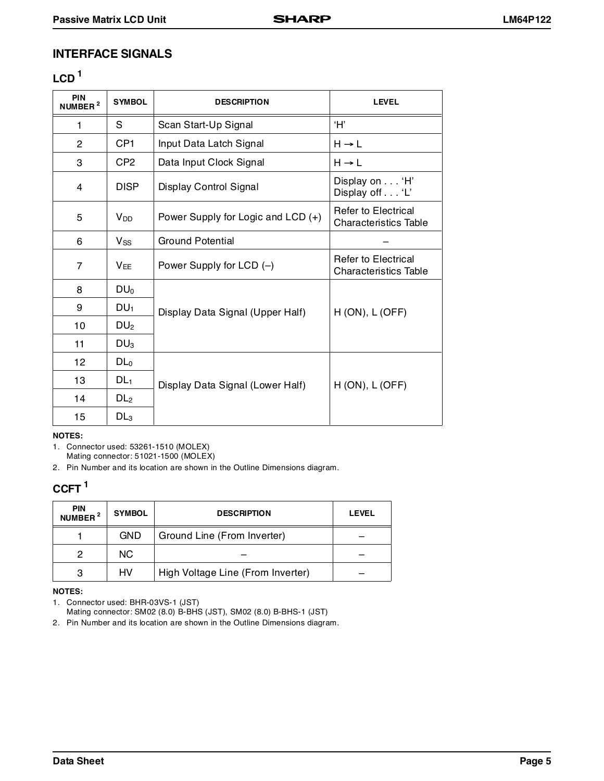# **INTERFACE SIGNALS**

# $LCD<sup>1</sup>$

| <b>PIN</b><br>NUMBER <sup>2</sup> | <b>SYMBOL</b>         | <b>DESCRIPTION</b>                   | <b>LEVEL</b>                                        |
|-----------------------------------|-----------------------|--------------------------------------|-----------------------------------------------------|
| 1                                 | S                     | Scan Start-Up Signal                 | Ή,                                                  |
| $\overline{2}$                    | CP <sub>1</sub>       | Input Data Latch Signal              | $H \rightarrow L$                                   |
| 3                                 | CP <sub>2</sub>       | Data Input Clock Signal              | $H \rightarrow L$                                   |
| 4                                 | <b>DISP</b>           | Display Control Signal               | Display on 'H'<br>Display off 'L'                   |
| 5                                 | $V_{DD}$              | Power Supply for Logic and $LCD (+)$ | Refer to Electrical<br><b>Characteristics Table</b> |
| 6                                 | $V_{SS}$              | Ground Potential                     |                                                     |
| $\overline{7}$                    | <b>V<sub>FF</sub></b> | Power Supply for LCD (-)             | Refer to Electrical<br><b>Characteristics Table</b> |
| 8                                 | DU <sub>0</sub>       |                                      |                                                     |
| 9                                 | DU <sub>1</sub>       | Display Data Signal (Upper Half)     | $H (ON)$ , $L (OFF)$                                |
| 10                                | DU <sub>2</sub>       |                                      |                                                     |
| 11                                | DU <sub>3</sub>       |                                      |                                                     |
| 12                                | DL <sub>0</sub>       |                                      |                                                     |
| 13                                | DL <sub>1</sub>       | Display Data Signal (Lower Half)     | $H (ON)$ , $L (OFF)$                                |
| 14                                | DL <sub>2</sub>       |                                      |                                                     |
| 15                                | DL <sub>3</sub>       |                                      |                                                     |

#### **NOTES:**

1. Connector used: 53261-1510 (MOLEX)

Mating connector: 51021-1500 (MOLEX)

2. Pin Number and its location are shown in the Outline Dimensions diagram.

# **CCFT 1**

| <b>PIN</b><br>NUMBER <sup>2</sup> | <b>SYMBOL</b> | <b>DESCRIPTION</b>                | <b>LEVEL</b> |
|-----------------------------------|---------------|-----------------------------------|--------------|
|                                   | <b>GND</b>    | Ground Line (From Inverter)       |              |
| 2                                 | NC.           |                                   |              |
| 3                                 | HV            | High Voltage Line (From Inverter) |              |

### **NOTES:**

1. Connector used: BHR-03VS-1 (JST)

Mating connector: SM02 (8.0) B-BHS (JST), SM02 (8.0) B-BHS-1 (JST) 2. Pin Number and its location are shown in the Outline Dimensions diagram.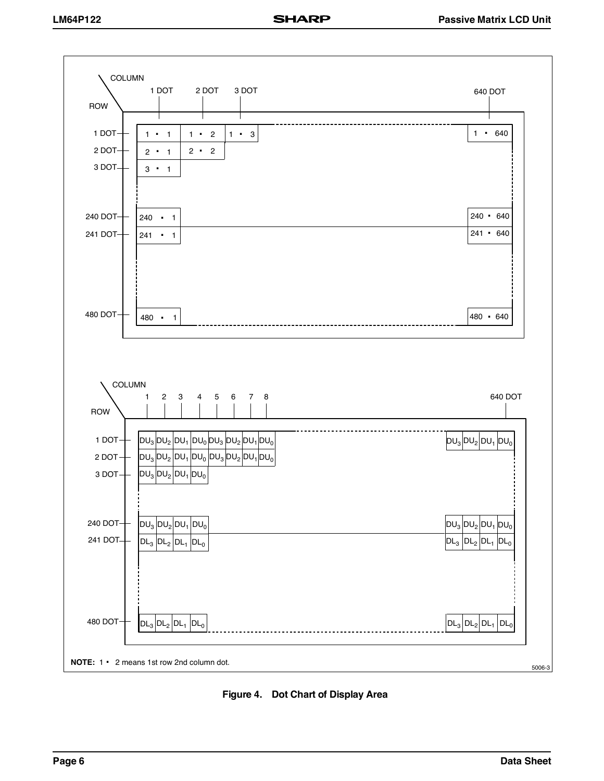

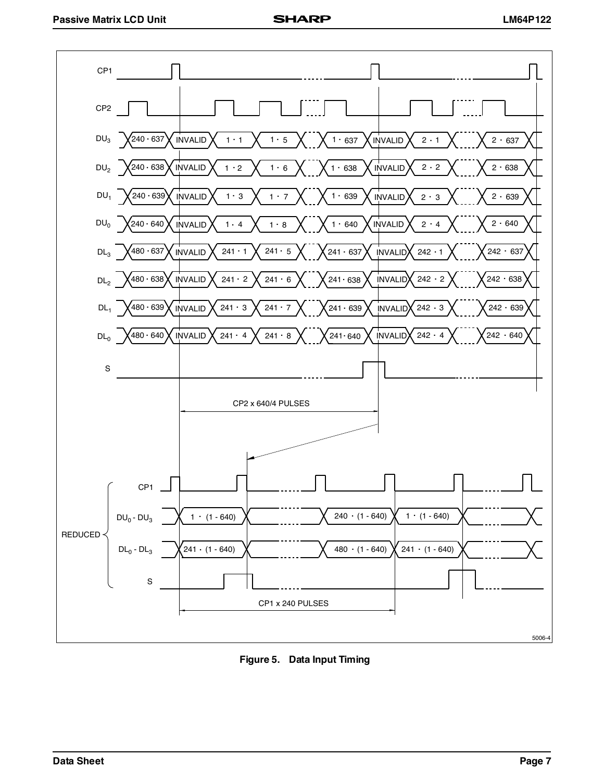

**Figure 5. Data Input Timing**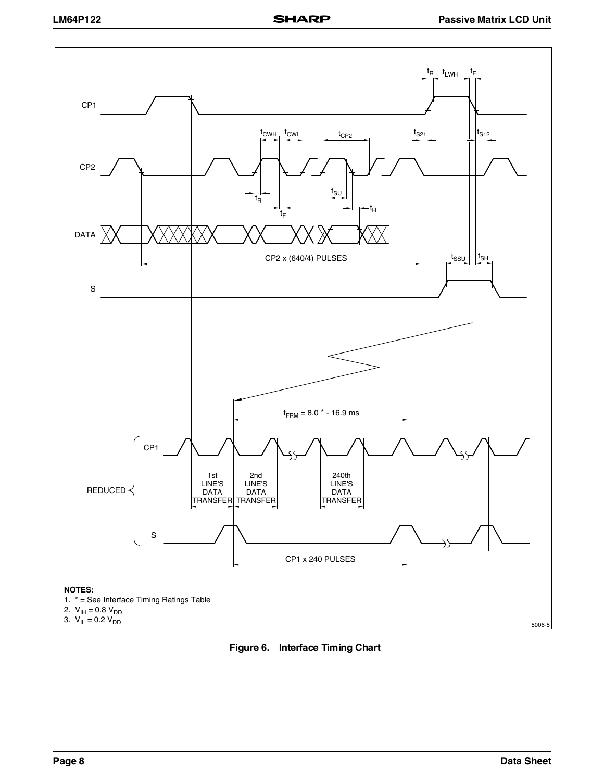

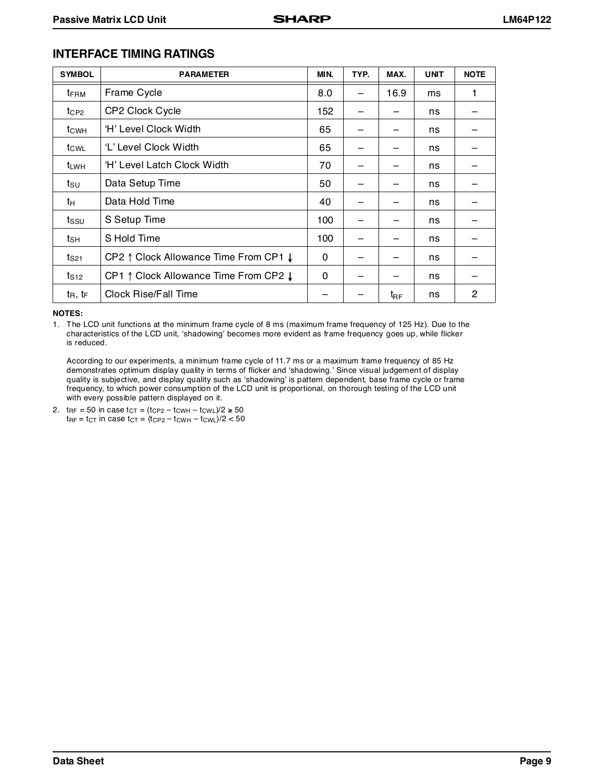# **INTERFACE TIMING RATINGS**

| <b>SYMBOL</b>    | <b>PARAMETER</b>                      | MIN. | TYP. | MAX.         | <b>UNIT</b> | <b>NOTE</b>  |
|------------------|---------------------------------------|------|------|--------------|-------------|--------------|
| t <sub>FRM</sub> | Frame Cycle                           | 8.0  |      | 16.9         | ms          | 1            |
| $t_{CP2}$        | CP2 Clock Cycle                       | 152  |      |              | ns          |              |
| t <sub>CWH</sub> | 'H' Level Clock Width                 | 65   |      |              | ns          |              |
| tcwL             | 'L' Level Clock Width                 | 65   |      |              | ns          |              |
| t <sub>LWH</sub> | 'H' Level Latch Clock Width           | 70   |      |              | ns          |              |
| tsu              | Data Setup Time                       | 50   |      |              | ns          |              |
| tн               | Data Hold Time                        | 40   |      |              | ns          |              |
| $t_{\text{SSU}}$ | S Setup Time                          | 100  |      |              | ns          |              |
| tsн              | S Hold Time                           | 100  |      |              | ns          |              |
| t <sub>S21</sub> | CP2 ↑ Clock Allowance Time From CP1 ↓ | 0    |      |              | ns          |              |
| $t_{S12}$        | CP1 1 Clock Allowance Time From CP2 ! | 0    |      |              | ns          |              |
| $t_R, t_F$       | Clock Rise/Fall Time                  |      |      | $t_{\sf RF}$ | ns          | $\mathbf{2}$ |

**NOTES:**

1. The LCD unit functions at the minimum frame cycle of 8 ms (maximum frame frequency of 125 Hz). Due to the characteristics of the LCD unit, 'shadowing' becomes more evident as frame frequency goes up, while flicker is reduced.

According to our experiments, a minimum frame cycle of 11.7 ms or a maximum frame frequency of 85 Hz demonstrates optimum display quality in terms of flicker and 'shadowing.' Since visual judgement of display quality is subjective, and display quality such as 'shadowing' is pattern dependent, base frame cycle or frame frequency, to which power consumption of the LCD unit is proportional, on thorough testing of the LCD unit with every possible pattern displayed on it.

2.  $tr = 50$  in case  $t_{CT} = (t_{CP2} - t_{CWH} - t_{CWL})/2 \ge 50$  $t_{\text{RF}} = t_{\text{CT}}$  in case  $t_{\text{CT}} = (t_{\text{CP2}} - t_{\text{CWH}} - t_{\text{CWL}})/2 < 50$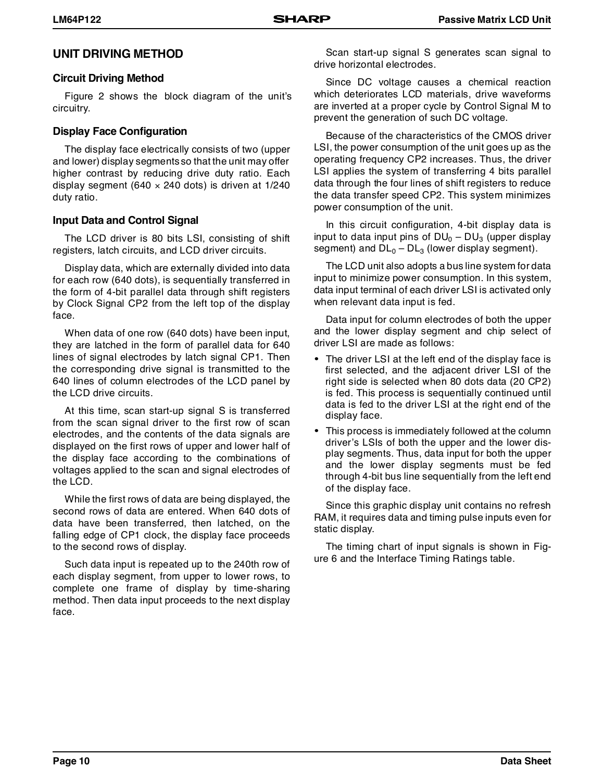### **UNIT DRIVING METHOD**

### **Circuit Driving Method**

Figure 2 shows the block diagram of the unit's circuitry.

### **Display Face Configuration**

The display face electrically consists of two (upper and lower) display segments so that the unit may offer higher contrast by reducing drive duty ratio. Each display segment (640  $\times$  240 dots) is driven at 1/240 duty ratio.

### **Input Data and Control Signal**

The LCD driver is 80 bits LSI, consisting of shift registers, latch circuits, and LCD driver circuits.

Display data, which are externally divided into data for each row (640 dots), is sequentially transferred in the form of 4-bit parallel data through shift registers by Clock Signal CP2 from the left top of the display face.

When data of one row (640 dots) have been input, they are latched in the form of parallel data for 640 lines of signal electrodes by latch signal CP1. Then the corresponding drive signal is transmitted to the 640 lines of column electrodes of the LCD panel by the LCD drive circuits.

At this time, scan start-up signal S is transferred from the scan signal driver to the first row of scan electrodes, and the contents of the data signals are displayed on the first rows of upper and lower half of the display face according to the combinations of voltages applied to the scan and signal electrodes of the LCD.

While the first rows of data are being displayed, the second rows of data are entered. When 640 dots of data have been transferred, then latched, on the falling edge of CP1 clock, the display face proceeds to the second rows of display.

Such data input is repeated up to the 240th row of each display segment, from upper to lower rows, to complete one frame of display by time-sharing method. Then data input proceeds to the next display face.

Scan start-up signal S generates scan signal to drive horizontal electrodes.

Since DC voltage causes a chemical reaction which deteriorates LCD materials, drive waveforms are inverted at a proper cycle by Control Signal M to prevent the generation of such DC voltage.

Because of the characteristics of the CMOS driver LSI, the power consumption of the unit goes up as the operating frequency CP2 increases. Thus, the driver LSI applies the system of transferring 4 bits parallel data through the four lines of shift registers to reduce the data transfer speed CP2. This system minimizes power consumption of the unit.

In this circuit configuration, 4-bit display data is input to data input pins of  $DU_0 - DU_3$  (upper display segment) and  $DL<sub>0</sub> - DL<sub>3</sub>$  (lower display segment).

The LCD unit also adopts a bus line system for data input to minimize power consumption. In this system, data input terminal of each driver LSI is activated only when relevant data input is fed.

Data input for column electrodes of both the upper and the lower display segment and chip select of driver LSI are made as follows:

- The driver LSI at the left end of the display face is first selected, and the adjacent driver LSI of the right side is selected when 80 dots data (20 CP2) is fed. This process is sequentially continued until data is fed to the driver LSI at the right end of the display face.
- This process is immediately followed at the column driver's LSIs of both the upper and the lower display segments. Thus, data input for both the upper and the lower display segments must be fed through 4-bit bus line sequentially from the left end of the display face.

Since this graphic display unit contains no refresh RAM, it requires data and timing pulse inputs even for static display.

The timing chart of input signals is shown in Figure 6 and the Interface Timing Ratings table.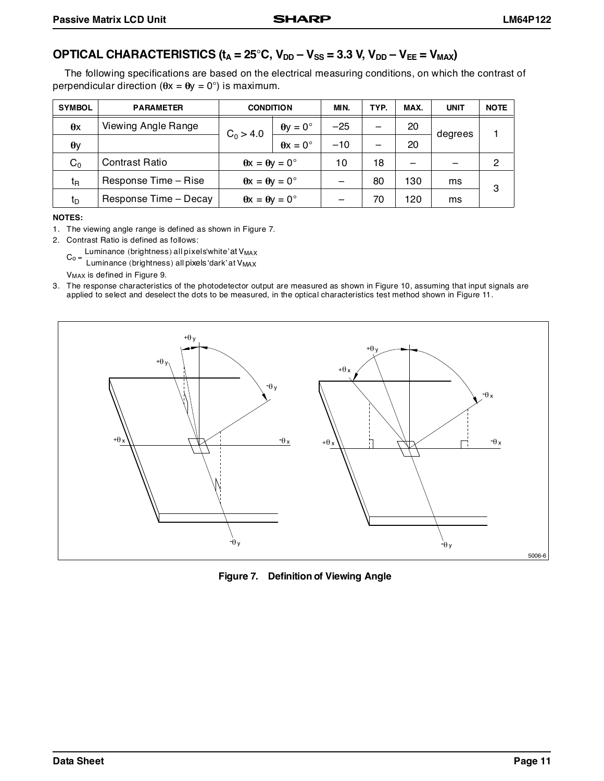# **OPTICAL CHARACTERISTICS (** $t_A = 25^\circ$ **C,**  $V_{DD} - V_{SS} = 3.3$  **V,**  $V_{DD} - V_{EE} = V_{MAX}$ **)**

The following specifications are based on the electrical measuring conditions, on which the contrast of perpendicular direction ( $\theta x = \theta y = 0^{\circ}$ ) is maximum.

| <b>SYMBOL</b>  | <b>PARAMETER</b>      | <b>CONDITION</b>                  |                                   | MIN.  | TYP.                     | MAX. | <b>UNIT</b> | <b>NOTE</b> |
|----------------|-----------------------|-----------------------------------|-----------------------------------|-------|--------------------------|------|-------------|-------------|
| $\theta$ x     | Viewing Angle Range   |                                   | $\theta y = 0^{\circ}$            | $-25$ | $\overline{\phantom{0}}$ | 20   |             |             |
| $\theta$ y     |                       | $C_0 > 4.0$                       | $\theta x = 0^{\circ}$            | $-10$ | $\overline{\phantom{0}}$ | 20   | degrees     |             |
| $C_0$          | Contrast Ratio        | $\theta x = \theta y = 0^{\circ}$ |                                   | 10    | 18                       |      |             | 2           |
| t <sub>R</sub> | Response Time - Rise  | $\theta x = \theta y = 0^{\circ}$ |                                   |       | 80                       | 130  | ms          | 3           |
| tp             | Response Time - Decay |                                   | $\theta x = \theta y = 0^{\circ}$ |       | 70                       | 120  | ms          |             |

#### **NOTES:**

1. The viewing angle range is defined as shown in Figure 7.

2. Contrast Ratio is defined as follows:

 $C_0 = \frac{\text{Luminance (brightness) all pixels' white' at V_{MAX}}}{\text{Luminance (bisk) all pixels (dark' at V_{MAX})}}$ 

Luminance (brightness) all pixels 'dark' at V<sub>MAX</sub>

VMAX is defined in Figure 9.

3. The response characteristics of the photodetector output are measured as shown in Figure 10, assuming that input signals are applied to select and deselect the dots to be measured, in the optical characteristics test method shown in Figure 11.



**Figure 7. Definition of Viewing Angle**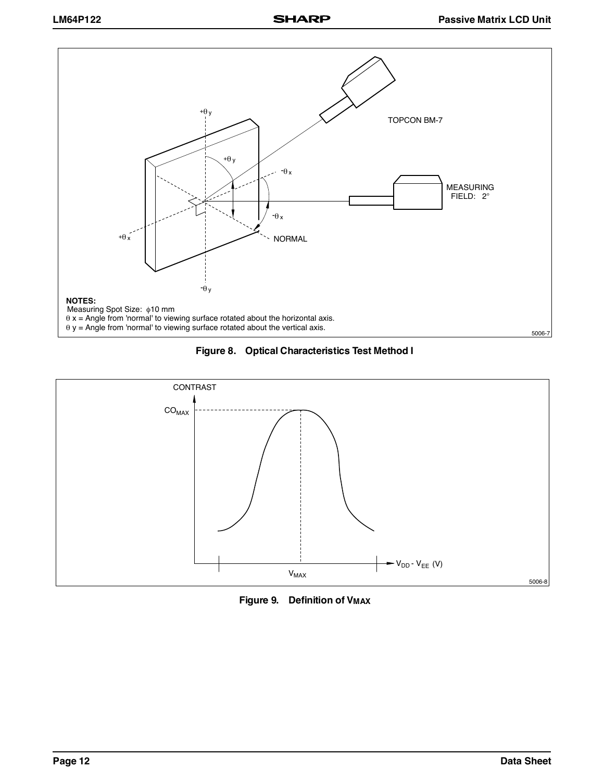





**Figure 9. Definition of V<sub>MAX</sub>**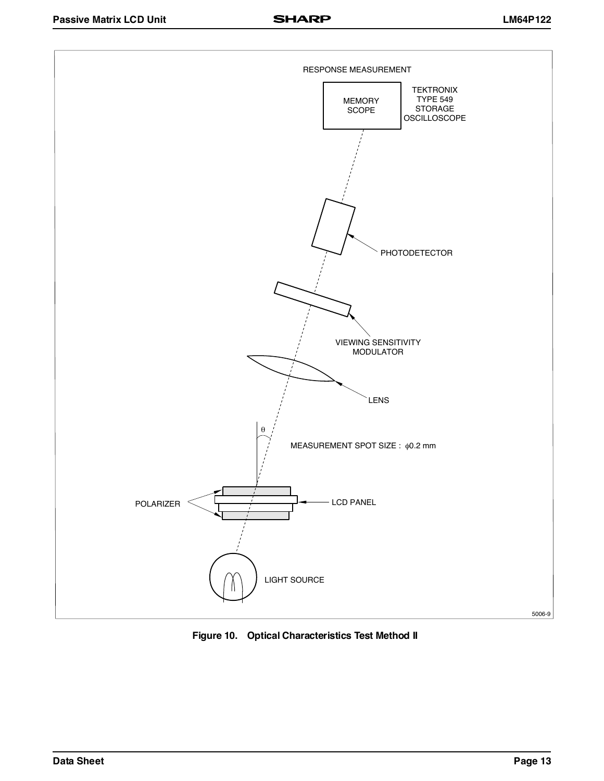

**Figure 10. Optical Characteristics Test Method II**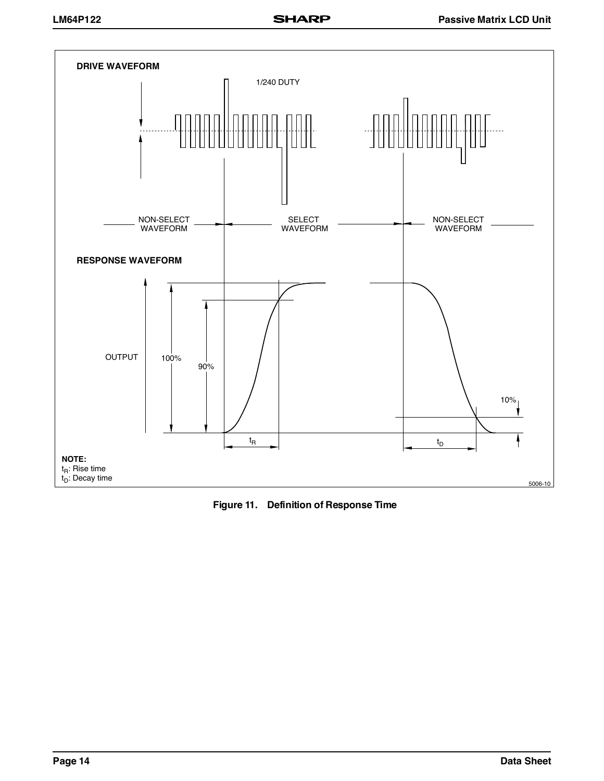

**Figure 11. Definition of Response Time**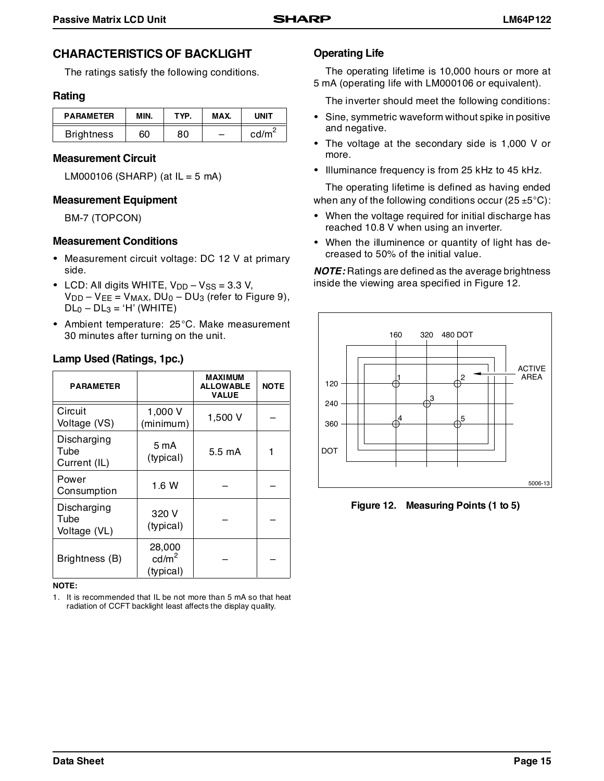# **CHARACTERISTICS OF BACKLIGHT**

The ratings satisfy the following conditions.

### **Rating**

| <b>PARAMETER</b>  | MIN. | TYP. | MAX. | UNIT              |
|-------------------|------|------|------|-------------------|
| <b>Brightness</b> | 60   | 80   | -    | cd/m <sup>∠</sup> |

### **Measurement Circuit**

LM000106 (SHARP) (at  $IL = 5$  mA)

### **Measurement Equipment**

BM-7 (TOPCON)

### **Measurement Conditions**

- Measurement circuit voltage: DC 12 V at primary side.
- LCD: All digits WHITE,  $V_{DD} V_{SS} = 3.3 V$ ,  $V_{DD} - V_{EE} = V_{MAX}$ ,  $DU_0 - DU_3$  (refer to Figure 9),  $DL<sub>0</sub> - DL<sub>3</sub> = 'H' (WHITE)$
- Ambient temperature: 25°C. Make measurement 30 minutes after turning on the unit.

| Lamp Used (Ratings, 1pc.)           |                                          |                  |             |  |  |  |
|-------------------------------------|------------------------------------------|------------------|-------------|--|--|--|
| <b>PARAMETER</b>                    |                                          |                  | <b>NOTE</b> |  |  |  |
| Circuit<br>Voltage (VS)             | 1,000 V<br>(minimum)                     | 1,500 V          |             |  |  |  |
| Discharging<br>Tube<br>Current (IL) | 5 mA<br>(typical)                        | $5.5 \text{ mA}$ | 1           |  |  |  |
| Power<br>Consumption                | 1.6 W                                    |                  |             |  |  |  |
| Discharging<br>Tube<br>Voltage (VL) | 320 V<br>(typical)                       |                  |             |  |  |  |
| Brightness (B)                      | 28,000<br>cd/m <sup>2</sup><br>(typical) |                  |             |  |  |  |

# **Lamp Used (Ratings, 1pc.)**

#### **NOTE:**

1. It is recommended that IL be not more than 5 mA so that heat radiation of CCFT backlight least affects the display quality.

### **Operating Life**

The operating lifetime is 10,000 hours or more at 5 mA (operating life with LM000106 or equivalent).

The inverter should meet the following conditions:

- Sine, symmetric waveform without spike in positive and negative.
- The voltage at the secondary side is 1,000 V or more.
- Illuminance frequency is from 25 kHz to 45 kHz.

The operating lifetime is defined as having ended when any of the following conditions occur (25  $\pm$ 5 $^{\circ}$ C):

- When the voltage required for initial discharge has reached 10.8 V when using an inverter.
- When the illuminence or quantity of light has decreased to 50% of the initial value.

**NOTE:** Ratings are defined as the average brightness inside the viewing area specified in Figure 12.



**Figure 12. Measuring Points (1 to 5)**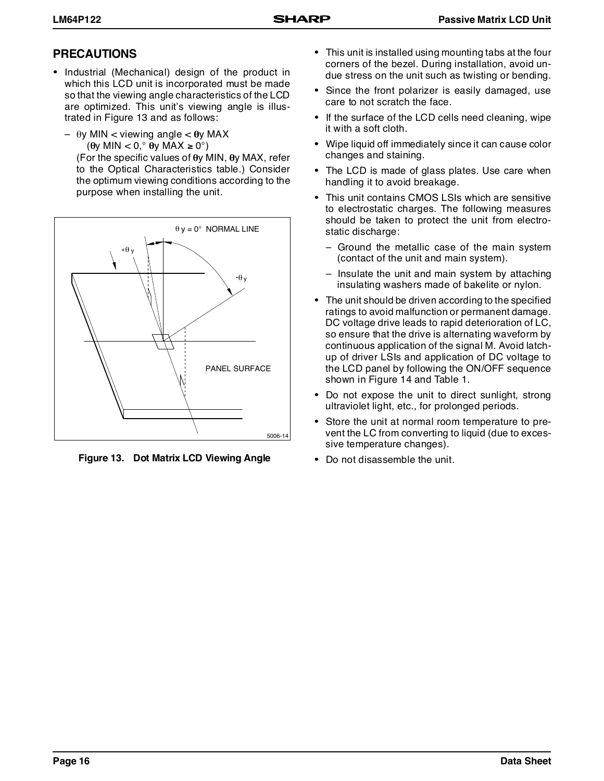# **PRECAUTIONS**

- Industrial (Mechanical) design of the product in which this LCD unit is incorporated must be made so that the viewing angle characteristics of the LCD are optimized. This unit's viewing angle is illustrated in Figure 13 and as follows:
	- θy MIN < viewing angle < θy MAX (θy MIN < 0,° θy MAX ≥ 0°)

(For the specific values of θy MIN, θy MAX, refer to the Optical Characteristics table.) Consider the optimum viewing conditions according to the purpose when installing the unit.



**Figure 13. Dot Matrix LCD Viewing Angle**

- This unit is installed using mounting tabs at the four corners of the bezel. During installation, avoid undue stress on the unit such as twisting or bending.
- Since the front polarizer is easily damaged, use care to not scratch the face.
- If the surface of the LCD cells need cleaning, wipe it with a soft cloth.
- Wipe liquid off immediately since it can cause color changes and staining.
- The LCD is made of glass plates. Use care when handling it to avoid breakage.
- This unit contains CMOS LSIs which are sensitive to electrostatic charges. The following measures should be taken to protect the unit from electrostatic discharge:
	- Ground the metallic case of the main system (contact of the unit and main system).
	- Insulate the unit and main system by attaching insulating washers made of bakelite or nylon.
- The unit should be driven according to the specified ratings to avoid malfunction or permanent damage. DC voltage drive leads to rapid deterioration of LC, so ensure that the drive is alternating waveform by continuous application of the signal M. Avoid latchup of driver LSIs and application of DC voltage to the LCD panel by following the ON/OFF sequence shown in Figure 14 and Table 1.
- Do not expose the unit to direct sunlight, strong ultraviolet light, etc., for prolonged periods.
- Store the unit at normal room temperature to prevent the LC from converting to liquid (due to excessive temperature changes).
- Do not disassemble the unit.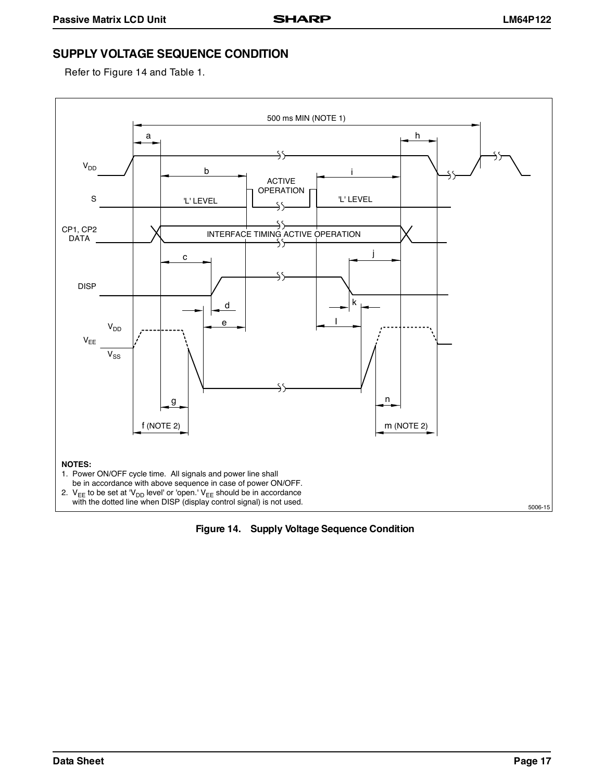# **SUPPLY VOLTAGE SEQUENCE CONDITION**

Refer to Figure 14 and Table 1.



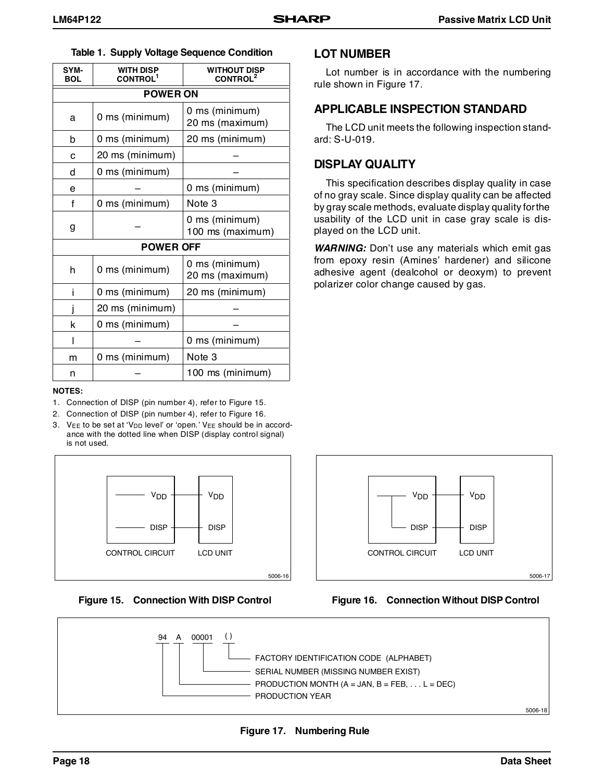| SYM-<br><b>BOL</b> | <b>WITH DISP</b><br><b>CONTROL<sup>1</sup></b> | <b>WITHOUT DISP</b><br><b>CONTROL<sup>2</sup></b> |
|--------------------|------------------------------------------------|---------------------------------------------------|
| <b>POWER ON</b>    |                                                |                                                   |
| a                  | 0 ms (minimum)                                 | 0 ms (minimum)<br>20 ms (maximum)                 |
| b                  | 0 ms (minimum)                                 | 20 ms (minimum)                                   |
| C                  | 20 ms (minimum)                                |                                                   |
| d                  | 0 ms (minimum)                                 |                                                   |
| e                  |                                                | 0 ms (minimum)                                    |
| f                  | 0 ms (minimum)                                 | Note 3                                            |
| g                  |                                                | 0 ms (minimum)<br>100 ms (maximum)                |
| <b>POWER OFF</b>   |                                                |                                                   |
| h                  | 0 ms (minimum)                                 | 0 ms (minimum)<br>20 ms (maximum)                 |
| Î                  | 0 ms (minimum)                                 | 20 ms (minimum)                                   |
|                    | 20 ms (minimum)                                |                                                   |
| k                  | 0 ms (minimum)                                 |                                                   |
|                    |                                                | 0 ms (minimum)                                    |
| m                  | 0 ms (minimum)                                 | Note 3                                            |
| n                  |                                                | 100 ms (minimum)                                  |

#### **NOTES:**

- 1. Connection of DISP (pin number 4), refer to Figure 15.
- 2. Connection of DISP (pin number 4), refer to Figure 16.
- 3.  $V_{EE}$  to be set at ' $V_{DD}$  level' or 'open.'  $V_{EE}$  should be in accordance with the dotted line when DISP (display control signal) is not used.



**Figure 15. Connection With DISP Control**

### **LOT NUMBER**

Lot number is in accordance with the numbering rule shown in Figure 17.

### **APPLICABLE INSPECTION STANDARD**

The LCD unit meets the following inspection standard: S-U-019.

### **DISPLAY QUALITY**

This specification describes display quality in case of no gray scale. Since display quality can be affected by gray scale methods, evaluate display quality for the usability of the LCD unit in case gray scale is displayed on the LCD unit.

**WARNING:** Don't use any materials which emit gas from epoxy resin (Amines' hardener) and silicone adhesive agent (dealcohol or deoxym) to prevent polarizer color change caused by gas.



### **Figure 16. Connection Without DISP Control**